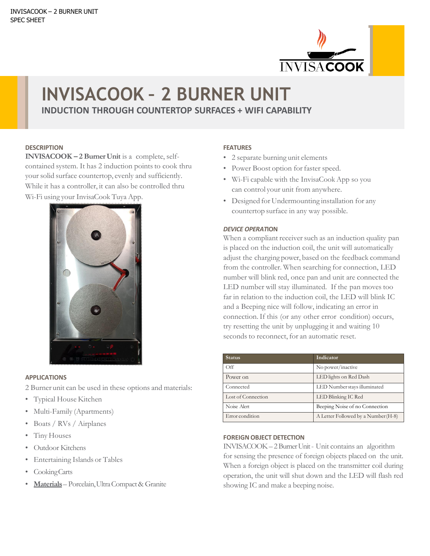

# **INVISACOOK – 2 BURNER UNIT INDUCTION THROUGH COUNTERTOP SURFACES + WIFI CAPABILITY**

#### **DESCRIPTION**

**INVISACOOK – 2 BurnerUnit** is a complete, selfcontained system. It has 2 induction points to cook thru your solid surface countertop, evenly and sufficiently. While it has a controller, it can also be controlled thru Wi-Fi using your InvisaCook Tuya App.



#### **APPLICATIONS**

2 Burner unit can be used in these options and materials:

- Typical House Kitchen
- Multi-Family (Apartments)
- Boats / RVs / Airplanes
- Tiny Houses
- Outdoor Kitchens
- Entertaining Islands or Tables
- CookingCarts
- **Materials** Porcelain,UltraCompact& Granite

### **FEATURES**

- 2 separate burning unit elements
- Power Boost option for faster speed.
- Wi-Fi capable with the InvisaCookApp so you can control your unit from anywhere.
- Designed for Undermounting installation for any countertop surface in any way possible.

#### *DEVICE OPERAT***ION**

When a compliant receiver such as an induction quality pan is placed on the induction coil, the unit will automatically adjust the charging power, based on the feedback command from the controller. When searching for connection, LED number will blink red, once pan and unit are connected the LED number will stay illuminated. If the pan moves too far in relation to the induction coil, the LED will blink IC and a Beeping nice will follow, indicating an error in connection.If this (or any other error condition) occurs, try resetting the unit by unplugging it and waiting 10 seconds to reconnect, for an automatic reset.

| <b>Status</b>      | Indicator                           |
|--------------------|-------------------------------------|
| $\bigcirc$ ff      | No power/inactive                   |
| Power on           | LED lights on Red Dash              |
| Connected          | LED Number stays illuminated        |
| Lost of Connection | LED Blinking IC Red                 |
| Noise Alert        | Beeping Noise of no Connection      |
| Error condition    | A Letter Followed by a Number (H-8) |

#### **FOREIGNOBJECT DETECTION**

INVISACOOK– 2BurnerUnit- Unit contains an algorithm for sensing the presence of foreign objects placed on the unit. When a foreign object is placed on the transmitter coil during operation, the unit will shut down and the LED will flash red showing IC and make a beeping noise.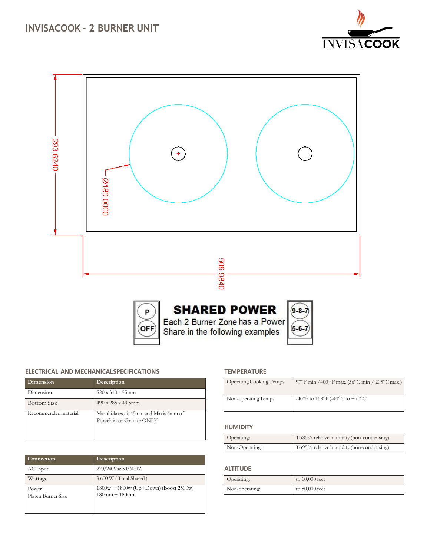





Each 2 Burner Zone has a Power Share in the following examples



## **ELECTRICAL AND MECHANICALSPECIFICATIONS**

| Dimension            | Description                                                          |
|----------------------|----------------------------------------------------------------------|
| Dimension            | $520 \times 310 \times 55$ mm                                        |
| <b>Bottom Size</b>   | $490 \times 285 \times 49.5$ mm                                      |
| Recommended material | Max thickness is 15mm and Min is 6mm of<br>Porcelain or Granite ONLY |

| Connection         | Description                             |
|--------------------|-----------------------------------------|
| AC Input           | 220/240Vac 50/60HZ                      |
| Wattage            | 3,600 W (Total Shared)                  |
| Power              | $1800w + 1800w$ (Up+Down) (Boost 2500w) |
| Platen Burner Size | $180mm + 180mm$                         |
|                    |                                         |

## **TEMPERATURE**

| Operating Cooking Temps | 97°F min /400 °F max. (36°C min / 205°C max.) |
|-------------------------|-----------------------------------------------|
| Non-operating Temps     | -40°F to $158$ °F (-40°C to +70°C)            |

#### **HUMIDITY**

| Operating:     | To 85% relative humidity (non-condensing) |
|----------------|-------------------------------------------|
| Non-Operating: | To 95% relative humidity (non-condensing) |

## **ALTITUDE**

| Operating:     | to 10,000 feet   |
|----------------|------------------|
| Non-operating: | to $50,000$ feet |